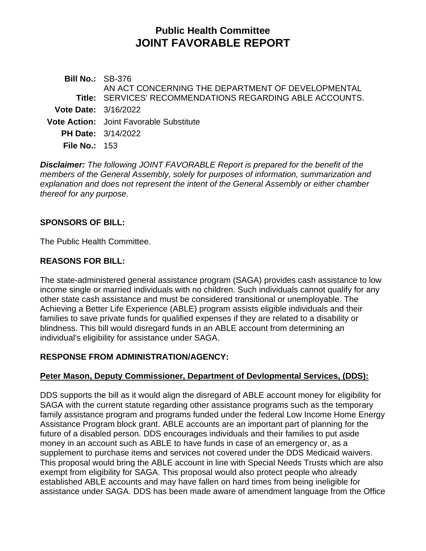# **Public Health Committee JOINT FAVORABLE REPORT**

**Bill No.:** SB-376 **Title:** SERVICES' RECOMMENDATIONS REGARDING ABLE ACCOUNTS. AN ACT CONCERNING THE DEPARTMENT OF DEVELOPMENTAL **Vote Date:** 3/16/2022 **Vote Action:** Joint Favorable Substitute **PH Date:** 3/14/2022 **File No.:** 153

*Disclaimer: The following JOINT FAVORABLE Report is prepared for the benefit of the members of the General Assembly, solely for purposes of information, summarization and explanation and does not represent the intent of the General Assembly or either chamber thereof for any purpose.*

### **SPONSORS OF BILL:**

The Public Health Committee.

### **REASONS FOR BILL:**

The state-administered general assistance program (SAGA) provides cash assistance to low income single or married individuals with no children. Such individuals cannot qualify for any other state cash assistance and must be considered transitional or unemployable. The Achieving a Better Life Experience (ABLE) program assists eligible individuals and their families to save private funds for qualified expenses if they are related to a disability or blindness. This bill would disregard funds in an ABLE account from determining an individual's eligibility for assistance under SAGA.

### **RESPONSE FROM ADMINISTRATION/AGENCY:**

# **Peter Mason, Deputy Commissioner, Department of Devlopmental Services, (DDS):**

DDS supports the bill as it would align the disregard of ABLE account money for eligibility for SAGA with the current statute regarding other assistance programs such as the temporary family assistance program and programs funded under the federal Low Income Home Energy Assistance Program block grant. ABLE accounts are an important part of planning for the future of a disabled person. DDS encourages individuals and their families to put aside money in an account such as ABLE to have funds in case of an emergency or, as a supplement to purchase items and services not covered under the DDS Medicaid waivers. This proposal would bring the ABLE account in line with Special Needs Trusts which are also exempt from eligibility for SAGA. This proposal would also protect people who already established ABLE accounts and may have fallen on hard times from being ineligible for assistance under SAGA. DDS has been made aware of amendment language from the Office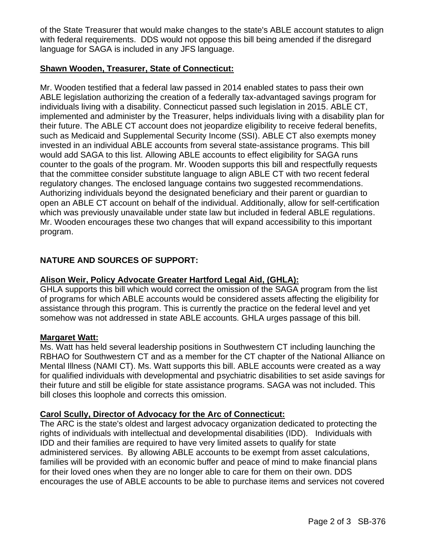of the State Treasurer that would make changes to the state's ABLE account statutes to align with federal requirements. DDS would not oppose this bill being amended if the disregard language for SAGA is included in any JFS language.

### **Shawn Wooden, Treasurer, State of Connecticut:**

Mr. Wooden testified that a federal law passed in 2014 enabled states to pass their own ABLE legislation authorizing the creation of a federally tax-advantaged savings program for individuals living with a disability. Connecticut passed such legislation in 2015. ABLE CT, implemented and administer by the Treasurer, helps individuals living with a disability plan for their future. The ABLE CT account does not jeopardize eligibility to receive federal benefits, such as Medicaid and Supplemental Security Income (SSI). ABLE CT also exempts money invested in an individual ABLE accounts from several state-assistance programs. This bill would add SAGA to this list. Allowing ABLE accounts to effect eligibility for SAGA runs counter to the goals of the program. Mr. Wooden supports this bill and respectfully requests that the committee consider substitute language to align ABLE CT with two recent federal regulatory changes. The enclosed language contains two suggested recommendations. Authorizing individuals beyond the designated beneficiary and their parent or guardian to open an ABLE CT account on behalf of the individual. Additionally, allow for self-certification which was previously unavailable under state law but included in federal ABLE regulations. Mr. Wooden encourages these two changes that will expand accessibility to this important program.

# **NATURE AND SOURCES OF SUPPORT:**

### **Alison Weir, Policy Advocate Greater Hartford Legal Aid, (GHLA):**

GHLA supports this bill which would correct the omission of the SAGA program from the list of programs for which ABLE accounts would be considered assets affecting the eligibility for assistance through this program. This is currently the practice on the federal level and yet somehow was not addressed in state ABLE accounts. GHLA urges passage of this bill.

### **Margaret Watt:**

Ms. Watt has held several leadership positions in Southwestern CT including launching the RBHAO for Southwestern CT and as a member for the CT chapter of the National Alliance on Mental Illness (NAMI CT). Ms. Watt supports this bill. ABLE accounts were created as a way for qualified individuals with developmental and psychiatric disabilities to set aside savings for their future and still be eligible for state assistance programs. SAGA was not included. This bill closes this loophole and corrects this omission.

### **Carol Scully, Director of Advocacy for the Arc of Connecticut:**

The ARC is the state's oldest and largest advocacy organization dedicated to protecting the rights of individuals with intellectual and developmental disabilities (IDD). Individuals with IDD and their families are required to have very limited assets to qualify for state administered services. By allowing ABLE accounts to be exempt from asset calculations, families will be provided with an economic buffer and peace of mind to make financial plans for their loved ones when they are no longer able to care for them on their own. DDS encourages the use of ABLE accounts to be able to purchase items and services not covered